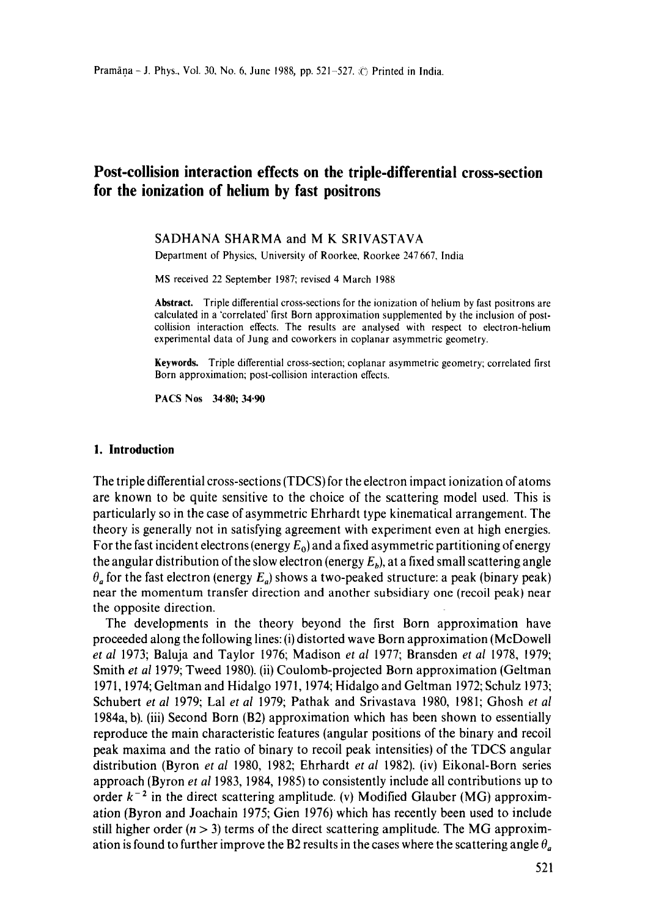# **Post-collision interaction effects on the triple-differential cross-section for the ionization of helium by fast positrons**

## SADHANA SHARMA and M K SRIVASTAVA

Department of Physics, University of Roorkee, Roorkee 247 667, India

MS received 22 September 1987; revised 4 March 1988

**Abstract.** Triple differential cross-sections for the ionization of helium by fast positrons are calculated in a 'correlated' first Born approximation supplemented by the inclusion of postcollision interaction effects. The results are analysed with respect to electron-helium experimental data of Jung and coworkers in coplanar asymmetric geometry.

**Keywords.** Triple differential cross-section; coplanar asymmetric geometry; correlated first Born approximation; post-collision interaction effects.

PACS Nos 34.80; 34.90

## **1. Introduction**

The triple differential cross-sections (TDCS) for the electron impact ionization of atoms are known to be quite sensitive to the choice of the scattering model used. This is particularly so in the case of asymmetric Ehrhardt type kinematical arrangement. The theory is generally not in satisfying agreement with experiment even at high energies. For the fast incident electrons (energy  $E_0$ ) and a fixed asymmetric partitioning of energy the angular distribution of the slow electron (energy  $E<sub>b</sub>$ ), at a fixed small scattering angle  $\theta_a$  for the fast electron (energy  $E_a$ ) shows a two-peaked structure: a peak (binary peak) near the momentum transfer direction and another subsidiary one (recoil peak) near the opposite direction.

The developments in the theory beyond the first Born approximation have proceeded along the following lines: (i) distorted wave Born approximation (McDowell *et al* 1973; Baluja and Taylor 1976; Madison *et al* 1977; Bransden *et al* 1978, 1979; Smith *et al* 1979; Tweed 1980). (ii) Coulomb-projected Born approximation (Geltman 1971, 1974; Geltman and Hidalgo 1971, 1974; Hidalgo and Geltman 1972; Schulz 1973; Schubert *et al* 1979; Lal *et al* 1979; Pathak and Srivastava 1980, 1981; Ghosh *et al*  1984a, b). (iii) Second Born (B2) approximation which has been shown to essentially reproduce the main characteristic features (angular positions of the binary and recoil peak maxima and the ratio of binary to recoil peak intensities) of the TDCS angular distribution (Byron *et al* 1980, 1982; Ehrhardt *et al* 1982). (iv) Eikonal-Born series approach (Byron *et al* 1983, 1984, 1985) to consistently include all contributions up to order  $k^{-2}$  in the direct scattering amplitude. (v) Modified Glauber (MG) approximation (Byron and Joachain 1975; Gien 1976) which has recently been used to include still higher order  $(n > 3)$  terms of the direct scattering amplitude. The MG approximation is found to further improve the B2 results in the cases where the scattering angle  $\theta_a$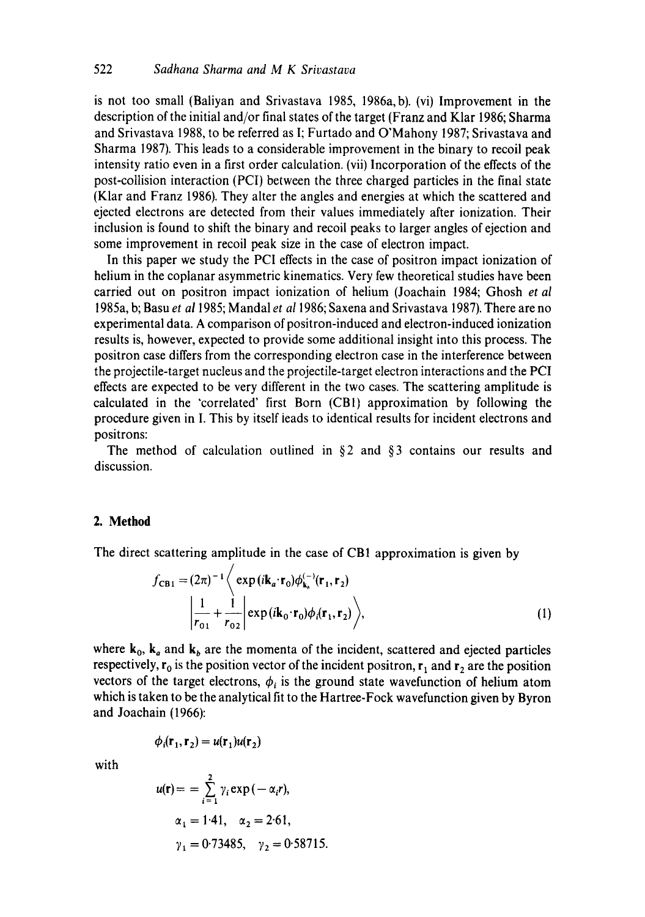is not too small (Baliyan and Srivastava 1985, 1986a, b). (vi) Improvement in the description of the initial and/or final states of the target (Franz and Klar 1986; Sharma and Srivastava 1988, to be referred as I; Furtado and O'Mahony 1987; Srivastava and Sharma 1987). This leads to a considerable improvement in the binary to recoil peak intensity ratio even in a first order calculation. (vii) Incorporation of the effects of the post-collision interaction (PCI) between the three charged particles in the final state (Klar and Franz 1986). They alter the angles and energies at which the scattered and ejected electrons are detected from their values immediately after ionization. Their inclusion is found to shift the binary and recoil peaks to larger angles of ejection and some improvement in recoil peak size in the case of electron impact.

In this paper we study the PCI effects in the case of positron impact ionization of helium in the coplanar asymmetric kinematics. Very few theoretical studies have been carried out on positron impact ionization of helium (Joachain 1984; Ghosh *et al*  1985a, b; Basu *et a11985;* Mandal *et a11986;* Saxena and Srivastava 1987). There are no experimental data. A comparison of positron-induced and electron-induced ionization results is, however, expected to provide some additional insight into this process. The positron case differs from the corresponding electron case in the interference between the projectile-target nucleus and the projectile-target electron interactions and the PCI effects are expected to be very different in the two cases. The scattering amplitude is calculated in the 'correlated' first Born (CBI) approximation by following the procedure given in I. This by itself leads to identical results for incident electrons and positrons:

The method of calculation outlined in  $\S 2$  and  $\S 3$  contains our results and discussion.

# **2. Method**

The direct scattering amplitude in the case of CB1 approximation is given by

$$
f_{\text{CB1}} = (2\pi)^{-1} \left\langle \exp(i\mathbf{k}_a \cdot \mathbf{r}_0) \phi_{\mathbf{k}_a}^{(-)}(\mathbf{r}_1, \mathbf{r}_2) \right. \left. \left| \frac{1}{r_{01}} + \frac{1}{r_{02}} \right| \exp(i\mathbf{k}_0 \cdot \mathbf{r}_0) \phi_i(\mathbf{r}_1, \mathbf{r}_2) \right\rangle,
$$
\n(1)

where  $k_0$ ,  $k_a$  and  $k_b$  are the momenta of the incident, scattered and ejected particles respectively,  $r_0$  is the position vector of the incident positron,  $r_1$  and  $r_2$  are the position vectors of the target electrons,  $\phi_i$  is the ground state wavefunction of helium atom which is taken to be the analytical fit to the Hartree-Fock wavefunction given by Byron and Joachain (1966):

$$
\phi_i(\mathbf{r}_1, \mathbf{r}_2) = u(\mathbf{r}_1)u(\mathbf{r}_2)
$$

with

$$
u(\mathbf{r}) = \sum_{i=1}^{2} \gamma_i \exp(-\alpha_i r),
$$
  
\n
$$
\alpha_1 = 1.41, \quad \alpha_2 = 2.61,
$$
  
\n
$$
\gamma_1 = 0.73485, \quad \gamma_2 = 0.58715.
$$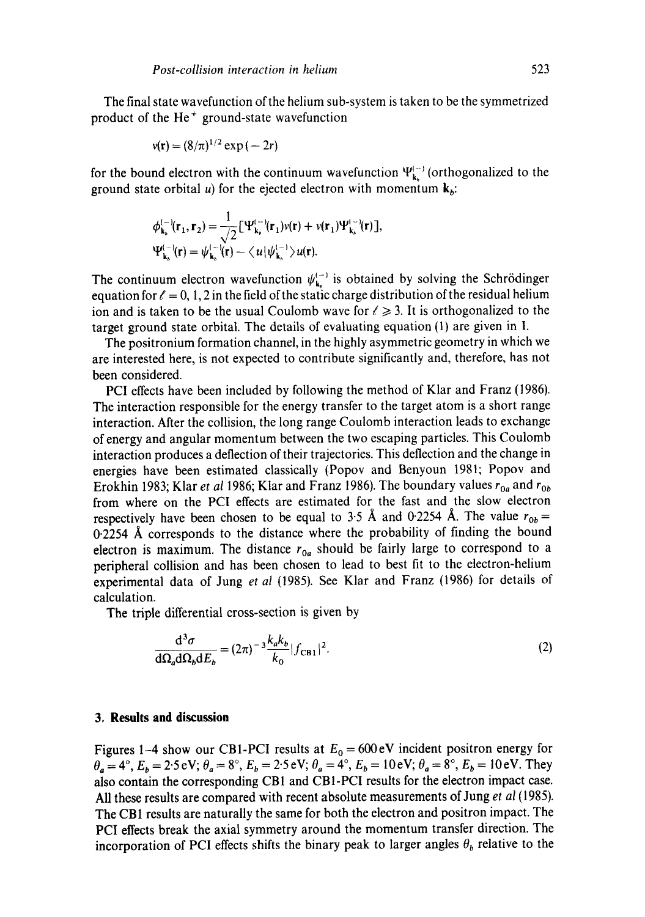The final state wavefunction of the helium sub-system is taken to be the symmetrized product of the  $He<sup>+</sup>$  ground-state wavefunction

$$
v(\mathbf{r}) = (8/\pi)^{1/2} \exp(-2r)
$$

for the bound electron with the continuum wavefunction  $\Psi_{\mathbf{k}_a}^{(-)}$  (orthogonalized to the ground state orbital u) for the ejected electron with momentum  $\mathbf{k}_b$ :

$$
\phi_{\mathbf{k}_b}^{(-)}(\mathbf{r}_1, \mathbf{r}_2) = \frac{1}{\sqrt{2}} \left[ \Psi_{\mathbf{k}_b}^{(-)}(\mathbf{r}_1) v(\mathbf{r}) + v(\mathbf{r}_1) \Psi_{\mathbf{k}_b}^{(-)}(\mathbf{r}) \right],
$$
  

$$
\Psi_{\mathbf{k}_b}^{(-)}(\mathbf{r}) = \psi_{\mathbf{k}_b}^{(-)}(\mathbf{r}) - \langle u | \psi_{\mathbf{k}_b}^{(-)} \rangle u(\mathbf{r}).
$$

The continuum electron wavefunction  $\psi_{\mathbf{k}_h}^{(-)}$  is obtained by solving the Schrödinger equation for  $\ell = 0, 1, 2$  in the field of the static charge distribution of the residual helium ion and is taken to be the usual Coulomb wave for  $\ell \geq 3$ . It is orthogonalized to the target ground state orbital. The details of evaluating equation (1) are given in I.

The positronium formation channel, in the highly asymmetric geometry in which we are interested here, is not expected to contribute significantly and, therefore, has not been considered.

PCI effects have been included by following the method of Klar and Franz (1986). The interaction responsible for the energy transfer to the target atom is a short range interaction. After the collision, the long range Coulomb interaction leads to exchange of energy and angular momentum between the two escaping particles. This Coulomb interaction produces a deflection of their trajectories. This deflection and the change in energies have been estimated classically (Popov and Benyoun 1981; Popov and Erokhin 1983; Klar *et al* 1986; Klar and Franz 1986). The boundary values  $r_{0a}$  and  $r_{0b}$ from where on the PCI effects are estimated for the fast and the slow electron respectively have been chosen to be equal to 3.5 Å and 0.2254 Å. The value  $r_{0b} =$  $0.2254$  Å corresponds to the distance where the probability of finding the bound electron is maximum. The distance  $r_{0a}$  should be fairly large to correspond to a peripheral collision and has been chosen to lead to best fit to the electron-helium experimental data of Jung *et al* (1985). See Klar and Franz (1986) for details of calculation.

The triple differential cross-section is given by

$$
\frac{\mathrm{d}^3 \sigma}{\mathrm{d}\Omega_a \mathrm{d}\Omega_b \mathrm{d}E_b} = (2\pi)^{-3} \frac{k_a k_b}{k_0} |f_{\text{CB1}}|^2. \tag{2}
$$

## **3, Results and discussion**

Figures 1-4 show our CB1-PCI results at  $E_0 = 600 \text{ eV}$  incident positron energy for  $\theta_a = 4^\circ$ ,  $E_b = 2.5 \text{ eV}; \theta_a = 8^\circ$ ,  $E_b = 2.5 \text{ eV}; \theta_a = 4^\circ$ ,  $E_b = 10 \text{ eV}; \theta_a = 8^\circ$ ,  $E_b = 10 \text{ eV}$ . They also contain the corresponding CB1 and CBI-PCI results for the electron impact case. All these results are compared with recent absolute measurements of Jung *et al* (1985). The CBI results are naturally the same for both the electron and positron impact. The PCI effects break the axial symmetry around the momentum transfer direction. The incorporation of PCI effects shifts the binary peak to larger angles  $\theta_b$  relative to the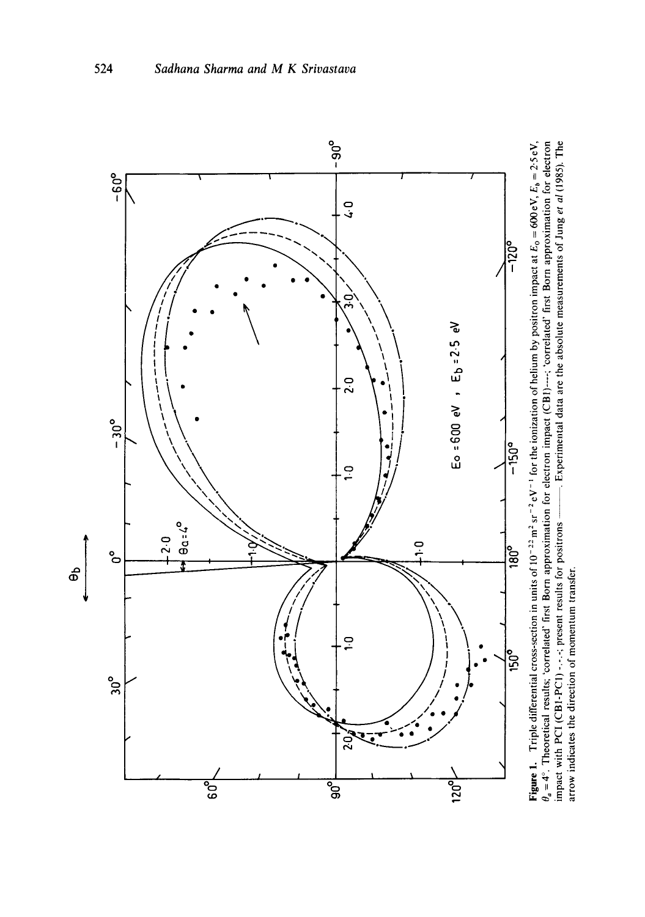

Figure 1. Triple differential cross-section in units of  $10^{-22}$  m<sup>2</sup> sr<sup>-2</sup> eV<sup>-1</sup> for the ionization of helium by positron impact at  $E_0 = 600$  eV,  $E_a = 2.5$  eV,  $\theta_a = 4^\circ$ . Theoretical results; 'correlated' first Born Figure 1. Triple differential cross-section in units of  $10^{-2}$  m<sup>2</sup> sr<sup>-2</sup> eV<sup>-1</sup> for the ionization of helium by positron impact at  $E_0 = 600$  eV,  $E_n = 2.5$  eV, *0 a* = 4 °. Theoretical results; 'correlated" first Born approximation for electron impact (CB1) .... ; 'correlated' first Born approximation for electron impact with PCI (CB1-PCI) -.-.-; present results for positrons --. Experimental data are the absolute measurements of Jung *et al* (1985). The arrow indicates the direction of momentum transfer. arrow indicates the direction of momentum transfer.

524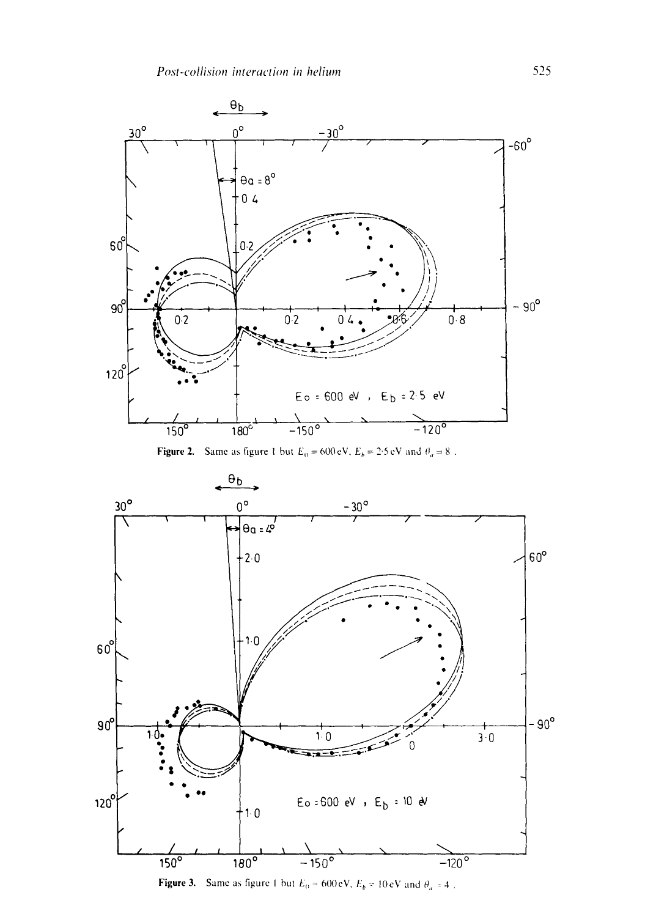

Figure 2. Same as figure 1 but  $E_0 = 600 \text{ eV}$ ,  $E_b = 2.5 \text{ eV}$  and  $\theta_a = 8$ .



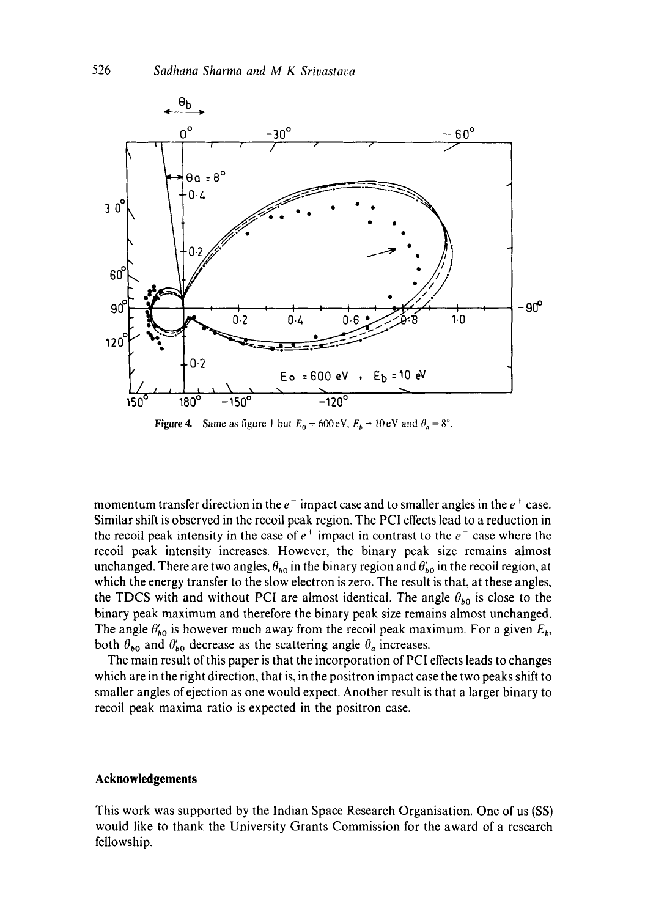

**Figure 4.** Same as figure 1 but  $E_0 = 600 \text{ eV}$ ,  $E_b = 10 \text{ eV}$  and  $\theta_a = 8^\circ$ .

momentum transfer direction in the  $e^-$  impact case and to smaller angles in the  $e^+$  case. Similar shift is observed in the recoil peak region. The PCI effects lead to a reduction in the recoil peak intensity in the case of  $e^+$  impact in contrast to the  $e^-$  case where the recoil peak intensity increases. However, the binary peak size remains almost unchanged. There are two angles,  $\theta_{b0}$  in the binary region and  $\theta'_{b0}$  in the recoil region, at which the energy transfer to the slow electron is zero. The result is that, at these angles, the TDCS with and without PCI are almost identical. The angle  $\theta_{b0}$  is close to the binary peak maximum and therefore the binary peak size remains almost unchanged. The angle  $\theta'_{b0}$  is however much away from the recoil peak maximum. For a given  $E_b$ , both  $\theta_{b0}$  and  $\theta'_{b0}$  decrease as the scattering angle  $\theta_a$  increases.

The main result of this paper is that the incorporation of PCI effects leads to changes which are in the right direction, that is, in the positron impact case the two peaks shift to smaller angles of ejection as one would expect. Another result is that a larger binary to recoil peak maxima ratio is expected in the positron case.

#### **Acknowledgements**

This work was supported by the Indian Space Research Organisation. One of us (SS) would like to thank the University Grants Commission for the award of a research fellowship.